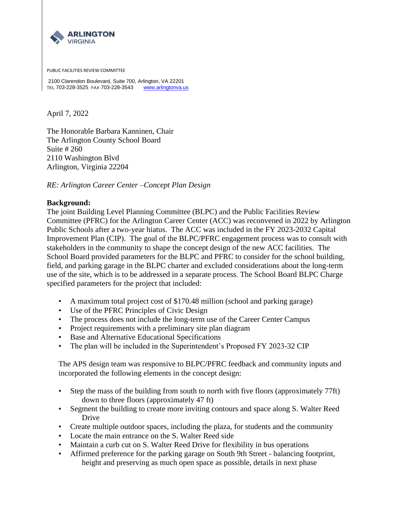

PUBLIC FACILITIES REVIEW COMMITTEE

2100 Clarendon Boulevard, Suite 700, Arlington, VA 22201 TEL 703-228-3525 FAX 703-228-3543 [www.arlingtonva.us](http://www.arlingtonva.us/)

April 7, 2022

The Honorable Barbara Kanninen, Chair The Arlington County School Board Suite # 260 2110 Washington Blvd Arlington, Virginia 22204

*RE: Arlington Career Center –Concept Plan Design*

## **Background:**

The joint Building Level Planning Committee (BLPC) and the Public Facilities Review Committee (PFRC) for the Arlington Career Center (ACC) was reconvened in 2022 by Arlington Public Schools after a two-year hiatus. The ACC was included in the FY 2023-2032 Capital Improvement Plan (CIP). The goal of the BLPC/PFRC engagement process was to consult with stakeholders in the community to shape the concept design of the new ACC facilities. The School Board provided parameters for the BLPC and PFRC to consider for the school building, field, and parking garage in the BLPC charter and excluded considerations about the long-term use of the site, which is to be addressed in a separate process. The School Board BLPC Charge specified parameters for the project that included:

- A maximum total project cost of \$170.48 million (school and parking garage)
- Use of the PFRC Principles of Civic Design
- The process does not include the long-term use of the Career Center Campus
- Project requirements with a preliminary site plan diagram
- Base and Alternative Educational Specifications
- The plan will be included in the Superintendent's Proposed FY 2023-32 CIP

The APS design team was responsive to BLPC/PFRC feedback and community inputs and incorporated the following elements in the concept design:

- Step the mass of the building from south to north with five floors (approximately 77ft) down to three floors (approximately 47 ft)
- Segment the building to create more inviting contours and space along S. Walter Reed Drive
- Create multiple outdoor spaces, including the plaza, for students and the community
- Locate the main entrance on the S. Walter Reed side
- Maintain a curb cut on S. Walter Reed Drive for flexibility in bus operations
- Affirmed preference for the parking garage on South 9th Street balancing footprint, height and preserving as much open space as possible, details in next phase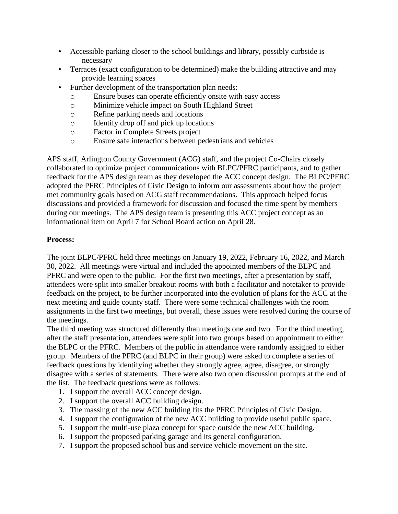- Accessible parking closer to the school buildings and library, possibly curbside is necessary
- Terraces (exact configuration to be determined) make the building attractive and may provide learning spaces
- Further development of the transportation plan needs:
	- o Ensure buses can operate efficiently onsite with easy access
	- o Minimize vehicle impact on South Highland Street
	- o Refine parking needs and locations
	- o Identify drop off and pick up locations
	- o Factor in Complete Streets project
	- o Ensure safe interactions between pedestrians and vehicles

APS staff, Arlington County Government (ACG) staff, and the project Co-Chairs closely collaborated to optimize project communications with BLPC/PFRC participants, and to gather feedback for the APS design team as they developed the ACC concept design. The BLPC/PFRC adopted the PFRC Principles of Civic Design to inform our assessments about how the project met community goals based on ACG staff recommendations. This approach helped focus discussions and provided a framework for discussion and focused the time spent by members during our meetings. The APS design team is presenting this ACC project concept as an informational item on April 7 for School Board action on April 28.

## **Process:**

The joint BLPC/PFRC held three meetings on January 19, 2022, February 16, 2022, and March 30, 2022. All meetings were virtual and included the appointed members of the BLPC and PFRC and were open to the public. For the first two meetings, after a presentation by staff, attendees were split into smaller breakout rooms with both a facilitator and notetaker to provide feedback on the project, to be further incorporated into the evolution of plans for the ACC at the next meeting and guide county staff. There were some technical challenges with the room assignments in the first two meetings, but overall, these issues were resolved during the course of the meetings.

The third meeting was structured differently than meetings one and two. For the third meeting, after the staff presentation, attendees were split into two groups based on appointment to either the BLPC or the PFRC. Members of the public in attendance were randomly assigned to either group. Members of the PFRC (and BLPC in their group) were asked to complete a series of feedback questions by identifying whether they strongly agree, agree, disagree, or strongly disagree with a series of statements. There were also two open discussion prompts at the end of the list. The feedback questions were as follows:

- 1. I support the overall ACC concept design.
- 2. I support the overall ACC building design.
- 3. The massing of the new ACC building fits the PFRC Principles of Civic Design.
- 4. I support the configuration of the new ACC building to provide useful public space.
- 5. I support the multi-use plaza concept for space outside the new ACC building.
- 6. I support the proposed parking garage and its general configuration.
- 7. I support the proposed school bus and service vehicle movement on the site.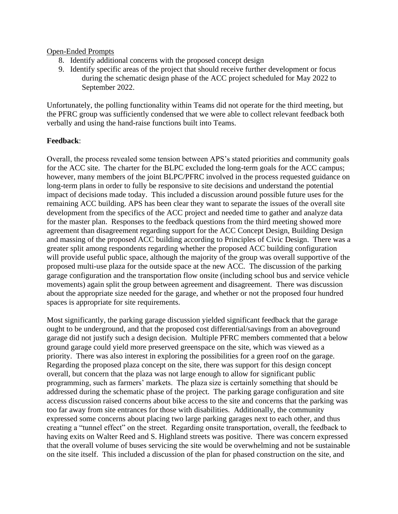## Open-Ended Prompts

- 8. Identify additional concerns with the proposed concept design
- 9. Identify specific areas of the project that should receive further development or focus during the schematic design phase of the ACC project scheduled for May 2022 to September 2022.

Unfortunately, the polling functionality within Teams did not operate for the third meeting, but the PFRC group was sufficiently condensed that we were able to collect relevant feedback both verbally and using the hand-raise functions built into Teams.

## **Feedback**:

Overall, the process revealed some tension between APS's stated priorities and community goals for the ACC site. The charter for the BLPC excluded the long-term goals for the ACC campus; however, many members of the joint BLPC/PFRC involved in the process requested guidance on long-term plans in order to fully be responsive to site decisions and understand the potential impact of decisions made today. This included a discussion around possible future uses for the remaining ACC building. APS has been clear they want to separate the issues of the overall site development from the specifics of the ACC project and needed time to gather and analyze data for the master plan. Responses to the feedback questions from the third meeting showed more agreement than disagreement regarding support for the ACC Concept Design, Building Design and massing of the proposed ACC building according to Principles of Civic Design. There was a greater split among respondents regarding whether the proposed ACC building configuration will provide useful public space, although the majority of the group was overall supportive of the proposed multi-use plaza for the outside space at the new ACC. The discussion of the parking garage configuration and the transportation flow onsite (including school bus and service vehicle movements) again split the group between agreement and disagreement. There was discussion about the appropriate size needed for the garage, and whether or not the proposed four hundred spaces is appropriate for site requirements.

Most significantly, the parking garage discussion yielded significant feedback that the garage ought to be underground, and that the proposed cost differential/savings from an aboveground garage did not justify such a design decision. Multiple PFRC members commented that a below ground garage could yield more preserved greenspace on the site, which was viewed as a priority. There was also interest in exploring the possibilities for a green roof on the garage. Regarding the proposed plaza concept on the site, there was support for this design concept overall, but concern that the plaza was not large enough to allow for significant public programming, such as farmers' markets. The plaza size is certainly something that should be addressed during the schematic phase of the project. The parking garage configuration and site access discussion raised concerns about bike access to the site and concerns that the parking was too far away from site entrances for those with disabilities. Additionally, the community expressed some concerns about placing two large parking garages next to each other, and thus creating a "tunnel effect" on the street. Regarding onsite transportation, overall, the feedback to having exits on Walter Reed and S. Highland streets was positive. There was concern expressed that the overall volume of buses servicing the site would be overwhelming and not be sustainable on the site itself. This included a discussion of the plan for phased construction on the site, and